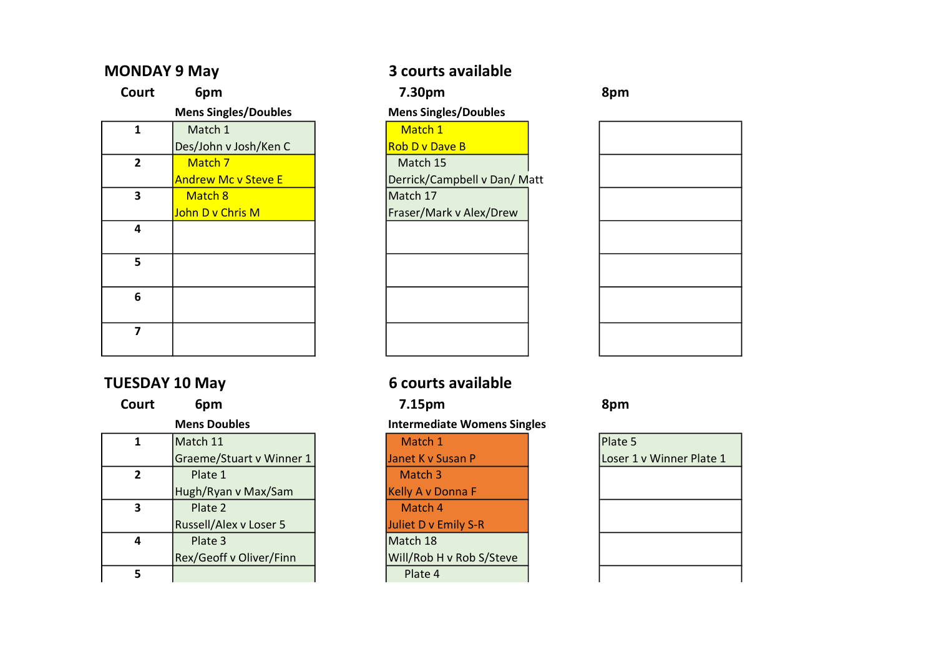| Court                   | 6pm                         | 7.30pm                       | 8pm |
|-------------------------|-----------------------------|------------------------------|-----|
|                         | <b>Mens Singles/Doubles</b> | <b>Mens Singles/Doubles</b>  |     |
| 1                       | Match 1                     | Match 1                      |     |
|                         | Des/John v Josh/Ken C       | <b>Rob D v Dave B</b>        |     |
| $\overline{2}$          | Match 7                     | Match 15                     |     |
|                         | <b>Andrew Mc v Steve E</b>  | Derrick/Campbell v Dan/ Matt |     |
| 3                       | Match 8                     | Match 17                     |     |
|                         | John D v Chris M            | Fraser/Mark v Alex/Drew      |     |
| 4                       |                             |                              |     |
|                         |                             |                              |     |
| 5                       |                             |                              |     |
|                         |                             |                              |     |
| 6                       |                             |                              |     |
|                         |                             |                              |     |
| $\overline{\mathbf{z}}$ |                             |                              |     |
|                         |                             |                              |     |

# TUESDAY 10 May 6 courts available

| Court        | 6pm                           | 7.15pm                             | 8pm     |
|--------------|-------------------------------|------------------------------------|---------|
|              | <b>Mens Doubles</b>           | <b>Intermediate Womens Singles</b> |         |
| 1            | Match 11                      | Match 1                            | Plate 5 |
|              | Graeme/Stuart v Winner 1      | Janet K v Susan P                  | Loser 1 |
| $\mathbf{2}$ | Plate 1                       | Match 3                            |         |
|              | Hugh/Ryan v Max/Sam           | <b>Kelly A v Donna F</b>           |         |
| 3            | Plate 2                       | Match 4                            |         |
|              | <b>Russell/Alex v Loser 5</b> | Juliet D v Emily S-R               |         |
| 4            | Plate 3                       | Match 18                           |         |
|              | Rex/Geoff v Oliver/Finn       | Will/Rob H v Rob S/Steve           |         |
| 5            |                               | Plate 4                            |         |

# MONDAY 9 May 3 courts available

## **Mens Singles/Doubles**



Janet K v Susan P Loser 1 v Winner Plate 1 Match 3 Kelly A v Donna F Match 4 Juliet D v Emily S-R Match 18  $Will/Rob H v Rob S/Steve$ 5 Plate 4

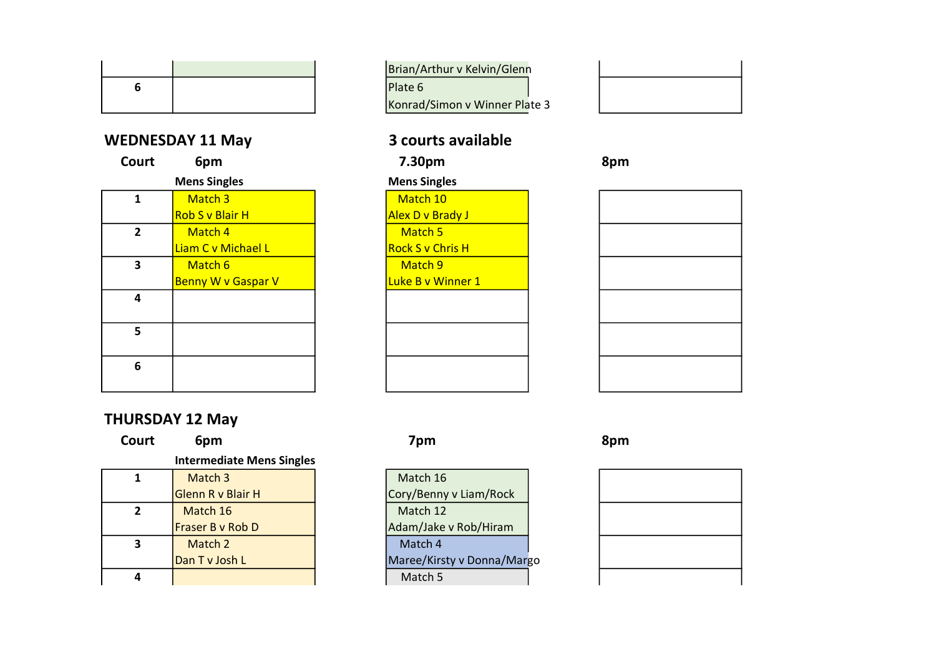# WEDNESDAY 11 May 3 courts available

| $\cdots$       |                           | COMI CJ UVUIIUNIC       |     |
|----------------|---------------------------|-------------------------|-----|
| Court          | 6pm                       | 7.30pm                  | 8pm |
|                | <b>Mens Singles</b>       | <b>Mens Singles</b>     |     |
| 1              | Match 3                   | Match 10                |     |
|                | <b>Rob S v Blair H</b>    | Alex D v Brady J        |     |
| $\overline{2}$ | Match 4                   | Match 5                 |     |
|                | Liam C v Michael L        | <b>Rock S v Chris H</b> |     |
| 3              | Match 6                   | Match 9                 |     |
|                | <b>Benny W v Gaspar V</b> | Luke B v Winner 1       |     |
| 4              |                           |                         |     |
|                |                           |                         |     |
| 5              |                           |                         |     |
|                |                           |                         |     |

## Brian/Arthur v Kelvin/Glenn 6 Plate 6 Konrad/Simon v Winner Plate 3

## **Mens Singles**





# THURSDAY 12 May

Court 6pm 7pm 7pm 8pm

6

## Intermediate Mens Singles

|   | Match 3           | Match 16               |
|---|-------------------|------------------------|
|   | Glenn R v Blair H | Cory/Benny v Liam/Rock |
|   | Match 16          | Match 12               |
|   | Fraser B v Rob D  | Adam/Jake v Rob/Hiram  |
| 3 | Match 2           | Match 4                |
|   | Dan T v Josh L    | Maree/Kirsty v Donna/M |
| 4 |                   | Match 5                |

| Match 3           | Match 16                   |
|-------------------|----------------------------|
| Glenn R v Blair H | Cory/Benny v Liam/Rock     |
| Match 16          | Match 12                   |
| Fraser B v Rob D  | Adam/Jake v Rob/Hiram      |
| Match 2           | Match 4                    |
| Dan T v Josh L    | Maree/Kirsty v Donna/Margo |
|                   | Match 5                    |